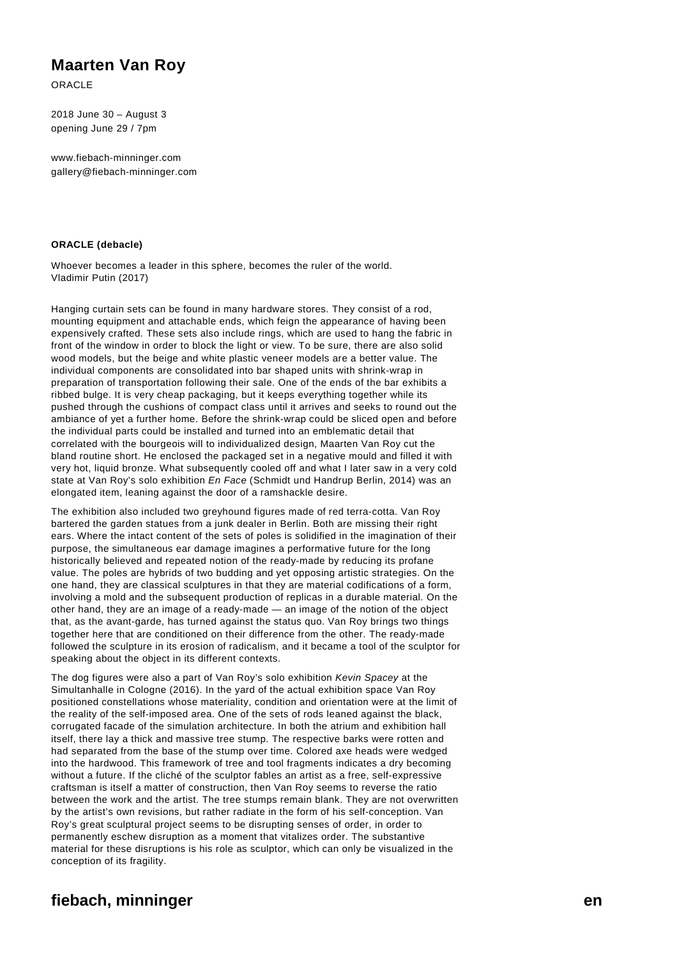## **Maarten Van Roy**

ORACLE

2018 June 30 – August 3 opening June 29 / 7pm

www.fiebach-minninger.com gallery@fiebach-minninger.com

## **ORACLE (debacle)**

Whoever becomes a leader in this sphere, becomes the ruler of the world. Vladimir Putin (2017)

Hanging curtain sets can be found in many hardware stores. They consist of a rod, mounting equipment and attachable ends, which feign the appearance of having been expensively crafted. These sets also include rings, which are used to hang the fabric in front of the window in order to block the light or view. To be sure, there are also solid wood models, but the beige and white plastic veneer models are a better value. The individual components are consolidated into bar shaped units with shrink-wrap in preparation of transportation following their sale. One of the ends of the bar exhibits a ribbed bulge. It is very cheap packaging, but it keeps everything together while its pushed through the cushions of compact class until it arrives and seeks to round out the ambiance of yet a further home. Before the shrink-wrap could be sliced open and before the individual parts could be installed and turned into an emblematic detail that correlated with the bourgeois will to individualized design, Maarten Van Roy cut the bland routine short. He enclosed the packaged set in a negative mould and filled it with very hot, liquid bronze. What subsequently cooled off and what I later saw in a very cold state at Van Roy's solo exhibition En Face (Schmidt und Handrup Berlin, 2014) was an elongated item, leaning against the door of a ramshackle desire.

The exhibition also included two greyhound figures made of red terra-cotta. Van Roy bartered the garden statues from a junk dealer in Berlin. Both are missing their right ears. Where the intact content of the sets of poles is solidified in the imagination of their purpose, the simultaneous ear damage imagines a performative future for the long historically believed and repeated notion of the ready-made by reducing its profane value. The poles are hybrids of two budding and yet opposing artistic strategies. On the one hand, they are classical sculptures in that they are material codifications of a form, involving a mold and the subsequent production of replicas in a durable material. On the other hand, they are an image of a ready-made — an image of the notion of the object that, as the avant-garde, has turned against the status quo. Van Roy brings two things together here that are conditioned on their difference from the other. The ready-made followed the sculpture in its erosion of radicalism, and it became a tool of the sculptor for speaking about the object in its different contexts.

The dog figures were also a part of Van Roy's solo exhibition Kevin Spacey at the Simultanhalle in Cologne (2016). In the yard of the actual exhibition space Van Roy positioned constellations whose materiality, condition and orientation were at the limit of the reality of the self-imposed area. One of the sets of rods leaned against the black, corrugated facade of the simulation architecture. In both the atrium and exhibition hall itself, there lay a thick and massive tree stump. The respective barks were rotten and had separated from the base of the stump over time. Colored axe heads were wedged into the hardwood. This framework of tree and tool fragments indicates a dry becoming without a future. If the cliché of the sculptor fables an artist as a free, self-expressive craftsman is itself a matter of construction, then Van Roy seems to reverse the ratio between the work and the artist. The tree stumps remain blank. They are not overwritten by the artist's own revisions, but rather radiate in the form of his self-conception. Van Roy's great sculptural project seems to be disrupting senses of order, in order to permanently eschew disruption as a moment that vitalizes order. The substantive material for these disruptions is his role as sculptor, which can only be visualized in the conception of its fragility.

## **fiebach, minninger en**